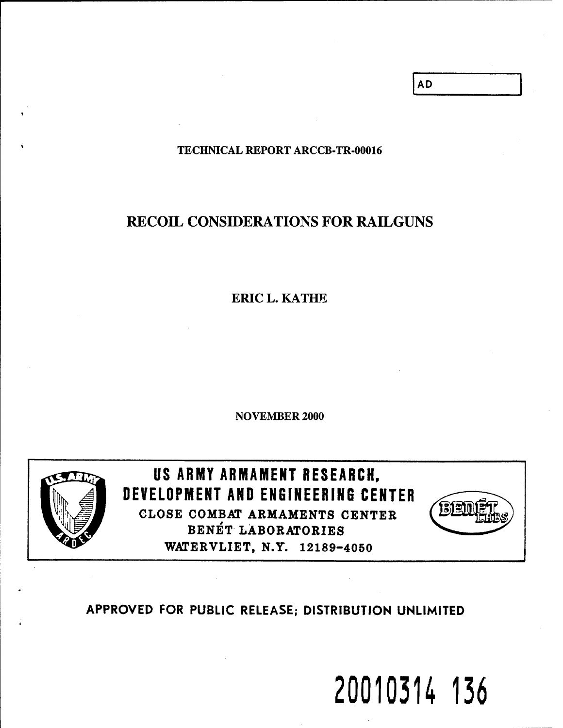TECHNICAL REPORT ARCCB-TR-00016

# **RECOIL CONSIDERATIONS FOR RAILGUNS**

**ERIC L. KÄTHE**

NOVEMBER 2000



**APPROVED FOR PUBLIC RELEASE; DISTRIBUTION UNLIMITED**

**20010314 136**

**AD**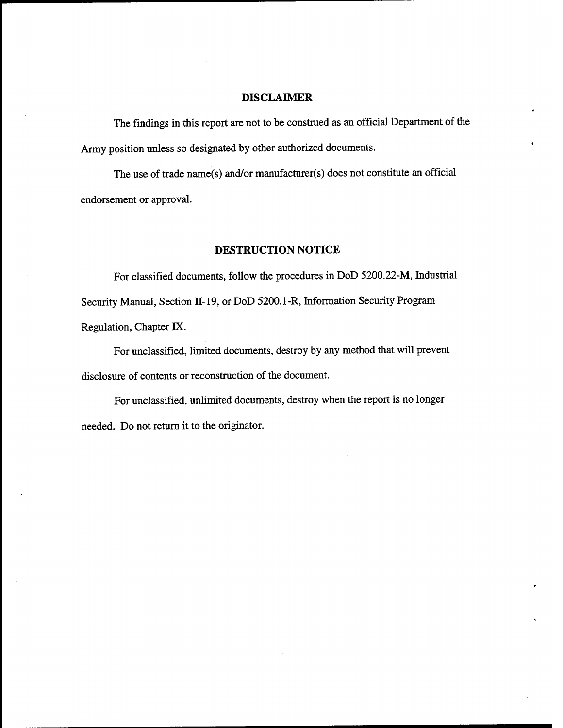## **DISCLAIMER**

The findings in this report are not to be construed as an official Department of the Army position unless so designated by other authorized documents.

The use of trade name(s) and/or manufacturer(s) does not constitute an official endorsement or approval.

# **DESTRUCTION NOTICE**

For classified documents, follow the procedures in DoD 5200.22-M, Industrial Security Manual, Section 11-19, or DoD 5200.1-R, Information Security Program Regulation, Chapter IX.

For unclassified, limited documents, destroy by any method that will prevent disclosure of contents or reconstruction of the document.

For unclassified, unlimited documents, destroy when the report is no longer needed. Do not return it to the originator.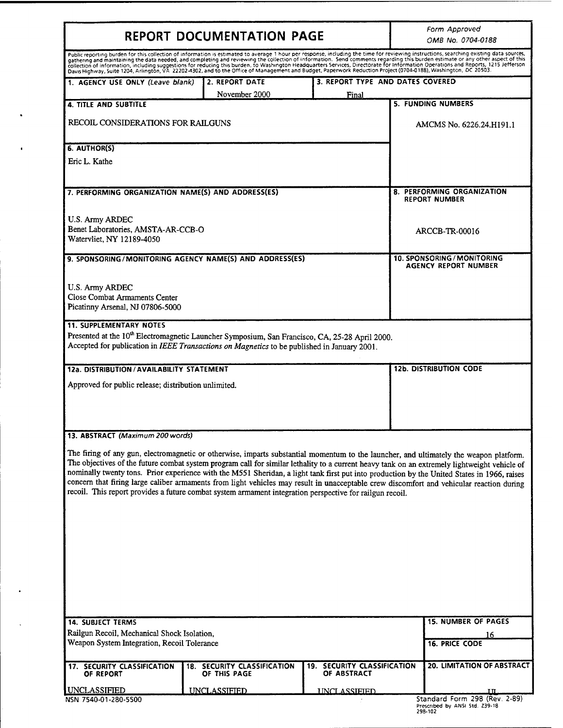| <b>REPORT DOCUMENTATION PAGE</b>                                                                                                                                                                                                            | Form Approved<br>OMB No. 0704-0188          |                                            |                                                                                                                                                                                                                                                                                                                                                                                                                                                                                                                                                                                   |
|---------------------------------------------------------------------------------------------------------------------------------------------------------------------------------------------------------------------------------------------|---------------------------------------------|--------------------------------------------|-----------------------------------------------------------------------------------------------------------------------------------------------------------------------------------------------------------------------------------------------------------------------------------------------------------------------------------------------------------------------------------------------------------------------------------------------------------------------------------------------------------------------------------------------------------------------------------|
| Davis Highway, Suite 1204, Arlington, VA 22202-4302, and to the Office of Management and Budget, Paperwork Reduction Project (0704-0188), Washington, DC 20503.                                                                             |                                             |                                            | Public reporting burden for this collection of information is estimated to average 1 hour per response, including the time for reviewing instructions, searching existing data sources,<br>gathering and maintaining the data needed, and completing and reviewing the collection of information. Send comments regarding this burden estimate or any other aspect of this<br>collection of information, including suggestions for reducing this burden. to Washington Headquarters Services, Directorate for Information Operations and Reports, 1215 Jefferson                  |
| 1. AGENCY USE ONLY (Leave blank)                                                                                                                                                                                                            | 2. REPORT DATE<br>November 2000             | 3. REPORT TYPE AND DATES COVERED           |                                                                                                                                                                                                                                                                                                                                                                                                                                                                                                                                                                                   |
| <b>4. TITLE AND SUBTITLE</b>                                                                                                                                                                                                                |                                             | Final                                      | 5. FUNDING NUMBERS                                                                                                                                                                                                                                                                                                                                                                                                                                                                                                                                                                |
| RECOIL CONSIDERATIONS FOR RAILGUNS                                                                                                                                                                                                          |                                             |                                            | AMCMS No. 6226.24.H191.1                                                                                                                                                                                                                                                                                                                                                                                                                                                                                                                                                          |
| 6. AUTHOR(S)<br>Eric L. Kathe                                                                                                                                                                                                               |                                             |                                            |                                                                                                                                                                                                                                                                                                                                                                                                                                                                                                                                                                                   |
| 7. PERFORMING ORGANIZATION NAME(S) AND ADDRESS(ES)                                                                                                                                                                                          |                                             |                                            | <b>8. PERFORMING ORGANIZATION</b><br><b>REPORT NUMBER</b>                                                                                                                                                                                                                                                                                                                                                                                                                                                                                                                         |
| <b>U.S. Army ARDEC</b><br>Benet Laboratories, AMSTA-AR-CCB-O<br>Watervliet, NY 12189-4050                                                                                                                                                   |                                             |                                            | <b>ARCCB-TR-00016</b>                                                                                                                                                                                                                                                                                                                                                                                                                                                                                                                                                             |
| 9. SPONSORING/MONITORING AGENCY NAME(S) AND ADDRESS(ES)                                                                                                                                                                                     |                                             |                                            | 10. SPONSORING / MONITORING<br><b>AGENCY REPORT NUMBER</b>                                                                                                                                                                                                                                                                                                                                                                                                                                                                                                                        |
| U.S. Army ARDEC<br>Close Combat Armaments Center<br>Picatinny Arsenal, NJ 07806-5000                                                                                                                                                        |                                             |                                            |                                                                                                                                                                                                                                                                                                                                                                                                                                                                                                                                                                                   |
| <b>11. SUPPLEMENTARY NOTES</b><br>Presented at the 10 <sup>th</sup> Electromagnetic Launcher Symposium, San Francisco, CA, 25-28 April 2000.<br>Accepted for publication in IEEE Transactions on Magnetics to be published in January 2001. |                                             |                                            |                                                                                                                                                                                                                                                                                                                                                                                                                                                                                                                                                                                   |
| 12a. DISTRIBUTION / AVAILABILITY STATEMENT                                                                                                                                                                                                  |                                             |                                            | 12b. DISTRIBUTION CODE                                                                                                                                                                                                                                                                                                                                                                                                                                                                                                                                                            |
| Approved for public release; distribution unlimited.                                                                                                                                                                                        |                                             |                                            |                                                                                                                                                                                                                                                                                                                                                                                                                                                                                                                                                                                   |
| 13. ABSTRACT (Maximum 200 words)<br>recoil. This report provides a future combat system armament integration perspective for railgun recoil.                                                                                                |                                             |                                            | The firing of any gun, electromagnetic or otherwise, imparts substantial momentum to the launcher, and ultimately the weapon platform.<br>The objectives of the future combat system program call for similar lethality to a current heavy tank on an extremely lightweight vehicle of<br>nominally twenty tons. Prior experience with the M551 Sheridan, a light tank first put into production by the United States in 1966, raises<br>concern that firing large caliber armaments from light vehicles may result in unacceptable crew discomfort and vehicular reaction during |
|                                                                                                                                                                                                                                             |                                             |                                            |                                                                                                                                                                                                                                                                                                                                                                                                                                                                                                                                                                                   |
| <b>14. SUBJECT TERMS</b><br>Railgun Recoil, Mechanical Shock Isolation,                                                                                                                                                                     |                                             |                                            | <b>15. NUMBER OF PAGES</b><br>16                                                                                                                                                                                                                                                                                                                                                                                                                                                                                                                                                  |
| Weapon System Integration, Recoil Tolerance                                                                                                                                                                                                 |                                             |                                            | <b>16. PRICE CODE</b>                                                                                                                                                                                                                                                                                                                                                                                                                                                                                                                                                             |
| 17. SECURITY CLASSIFICATION<br>OF REPORT                                                                                                                                                                                                    | 18. SECURITY CLASSIFICATION<br>OF THIS PAGE | 19. SECURITY CLASSIFICATION<br>OF ABSTRACT | 20. LIMITATION OF ABSTRACT                                                                                                                                                                                                                                                                                                                                                                                                                                                                                                                                                        |
| <b>UNCLASSIFIED</b><br>NSN 7540-01-280-5500                                                                                                                                                                                                 | UNCLASSIFIED                                | <u>I INCLASSIFIED</u>                      | IΠ<br>Standard Form 298 (Rev. 2-89)<br>Prescribed by ANSI Std. Z39-18                                                                                                                                                                                                                                                                                                                                                                                                                                                                                                             |

 $\bullet$ 

 $\mathbf{u}$ 

 $\bullet$ 

 $\bar{\mathcal{A}}$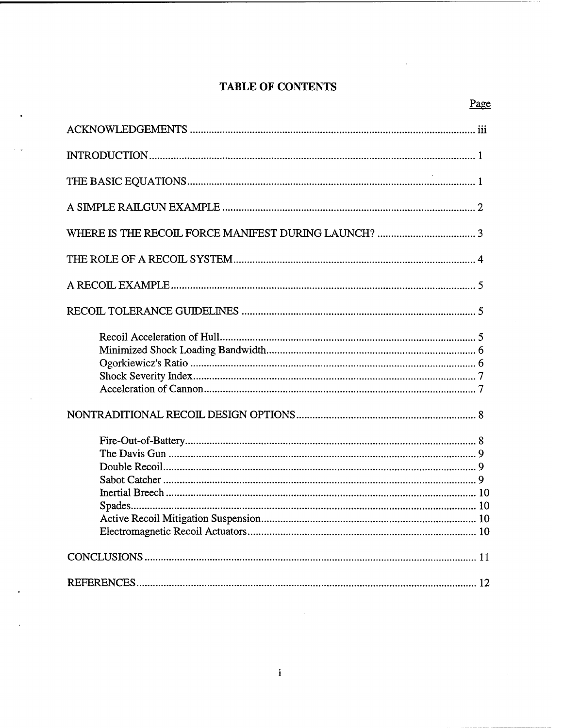# **TABLE OF CONTENTS**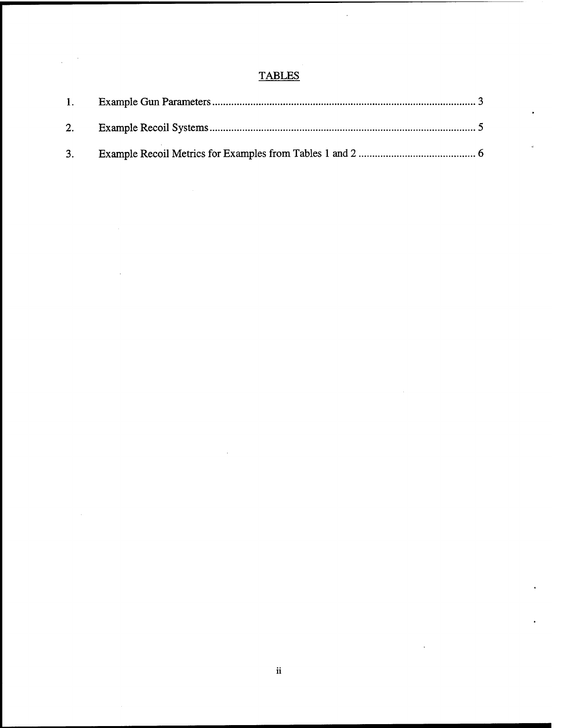# **TABLES**

 $\ddot{\phantom{a}}$ 

| 1. |  |
|----|--|
| 2. |  |
| 3. |  |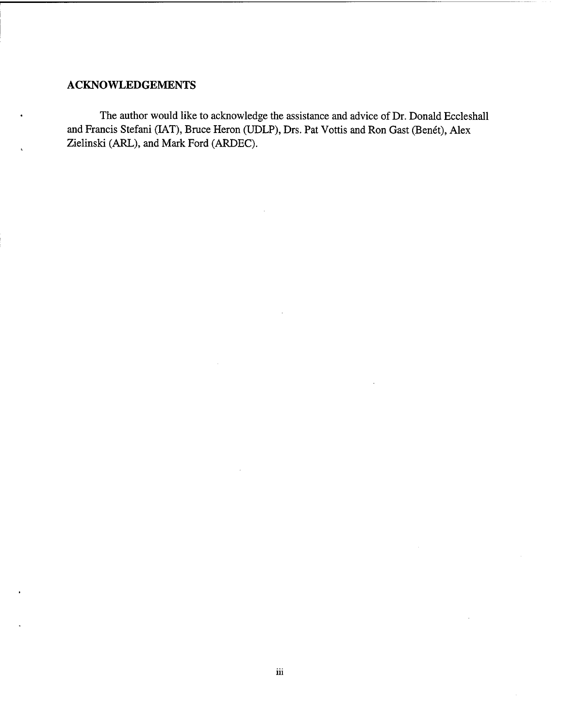# **ACKNOWLEDGEMENTS**

The author would like to acknowledge the assistance and advice of Dr. Donald Eccleshall and Francis Stefani (IAT), Bruce Heron (UDLP), Drs. Pat Vottis and Ron Gast (Benét), Alex Zielinski (ARL), and Mark Ford (ARDEC).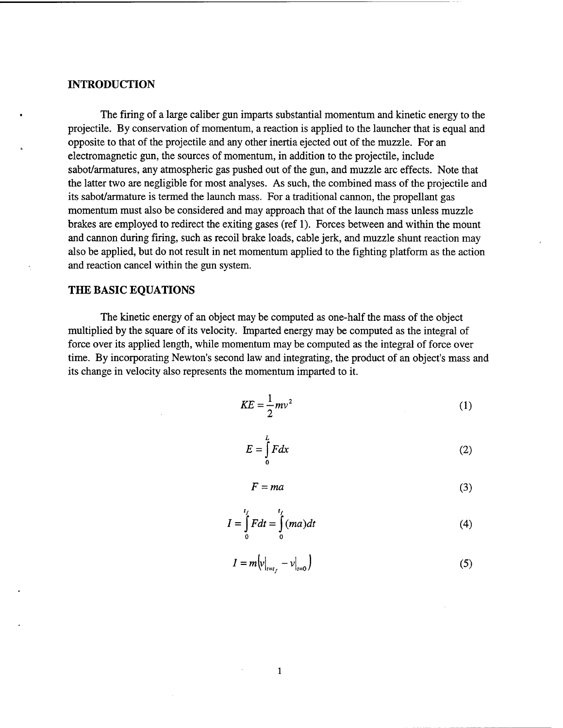#### **INTRODUCTION**

The firing of a large caliber gun imparts substantial momentum and kinetic energy to the projectile. By conservation of momentum, a reaction is applied to the launcher that is equal and opposite to that of the projectile and any other inertia ejected out of the muzzle. For an electromagnetic gun, the sources of momentum, in addition to the projectile, include sabot/armatures, any atmospheric gas pushed out of the gun, and muzzle arc effects. Note that the latter two are negligible for most analyses. As such, the combined mass of the projectile and its sabot/armature is termed the launch mass. For a traditional cannon, the propellant gas momentum must also be considered and may approach that of the launch mass unless muzzle brakes are employed to redirect the exiting gases (ref 1). Forces between and within the mount and cannon during firing, such as recoil brake loads, cable jerk, and muzzle shunt reaction may also be applied, but do not result in net momentum applied to the fighting platform as the action and reaction cancel within the gun system.

# **THE BASIC EQUATIONS**

The kinetic energy of an object may be computed as one-half the mass of the object multiplied by the square of its velocity. Imparted energy may be computed as the integral of force over its applied length, while momentum may be computed as the integral of force over time. By incorporating Newton's second law and integrating, the product of an object's mass and its change in velocity also represents the momentum imparted to it.

$$
KE = \frac{1}{2}mv^2\tag{1}
$$

$$
E = \int_{0}^{L} F dx
$$
 (2)

$$
F = ma \tag{3}
$$

$$
I = \int_{0}^{t_f} Fdt = \int_{0}^{t_f} (ma)dt
$$
 (4)

$$
I = m \Big| v \Big|_{t = t_f} - v \Big|_{t = 0} \Big)
$$
 (5)

$$
\mathbf{1} \\
$$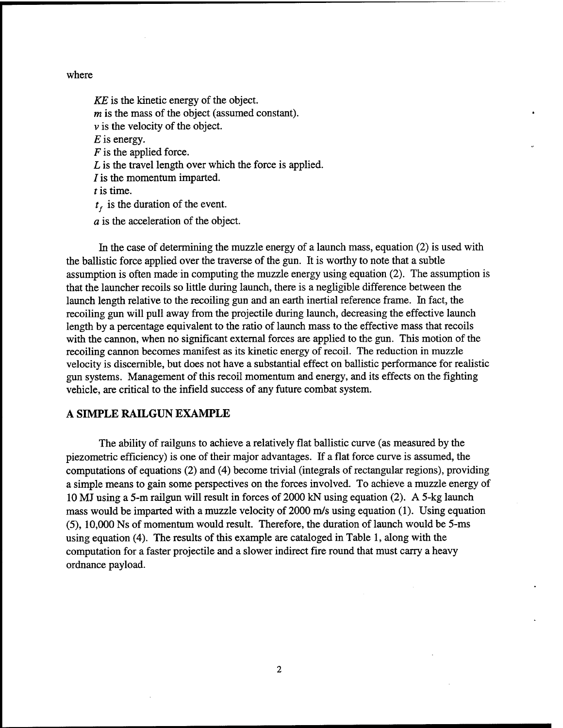#### where

*KE* is the kinetic energy of the object. *m* is the mass of the object (assumed constant).  $\nu$  is the velocity of the object. *E* is energy. *F* is the applied force. *L* is the travel length over which the force is applied.  *is the momentum imparted. t* is time. *tf* is the duration of the event. *a* is the acceleration of the object.

In the case of determining the muzzle energy of a launch mass, equation (2) is used with the ballistic force applied over the traverse of the gun. It is worthy to note that a subtle assumption is often made in computing the muzzle energy using equation (2). The assumption is that the launcher recoils so little during launch, there is a negligible difference between the launch length relative to the recoiling gun and an earth inertial reference frame. In fact, the recoiling gun will pull away from the projectile during launch, decreasing the effective launch length by a percentage equivalent to the ratio of launch mass to the effective mass that recoils with the cannon, when no significant external forces are applied to the gun. This motion of the recoiling cannon becomes manifest as its kinetic energy of recoil. The reduction in muzzle velocity is discernible, but does not have a substantial effect on ballistic performance for realistic gun systems. Management of this recoil momentum and energy, and its effects on the fighting vehicle, are critical to the infield success of any future combat system.

### A SIMPLE RAILGUN EXAMPLE

The ability of railguns to achieve a relatively flat ballistic curve (as measured by the piezometric efficiency) is one of their major advantages. If a flat force curve is assumed, the computations of equations (2) and (4) become trivial (integrals of rectangular regions), providing a simple means to gain some perspectives on the forces involved. To achieve a muzzle energy of 10 MJ using a 5-m railgun will result in forces of 2000 kN using equation (2). A 5-kg launch mass would be imparted with a muzzle velocity of 2000 m/s using equation (1). Using equation (5), 10,000 Ns of momentum would result. Therefore, the duration of launch would be 5-ms using equation (4). The results of this example are cataloged in Table 1, along with the computation for a faster projectile and a slower indirect fire round that must carry a heavy ordnance payload.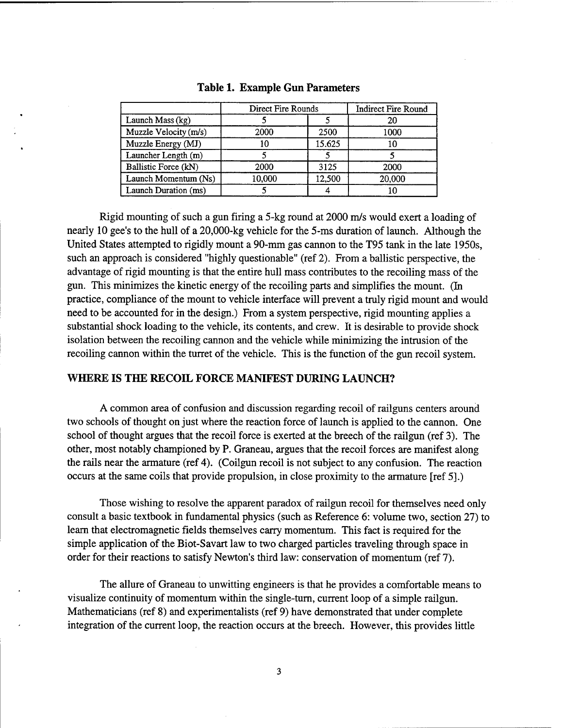|                             | Direct Fire Rounds | <b>Indirect Fire Round</b> |        |  |
|-----------------------------|--------------------|----------------------------|--------|--|
| Launch Mass (kg)            |                    |                            | 20     |  |
| Muzzle Velocity (m/s)       | 2000               | 2500                       | 1000   |  |
| Muzzle Energy (MJ)          | 10                 | 15.625                     | 10     |  |
| Launcher Length (m)         |                    |                            |        |  |
| <b>Ballistic Force (kN)</b> | 2000               | 3125                       | 2000   |  |
| Launch Momentum (Ns)        | 10,000             | 12,500                     | 20,000 |  |
| Launch Duration (ms)        |                    |                            |        |  |

#### **Table 1. Example Gun Parameters**

Rigid mounting of such a gun firing a 5-kg round at 2000 m/s would exert a loading of nearly 10 gee's to the hull of a 20,000-kg vehicle for the 5-ms duration of launch. Although the United States attempted to rigidly mount a 90-mm gas cannon to the T95 tank in the late 1950s, such an approach is considered "highly questionable" (ref 2). From a ballistic perspective, the advantage of rigid mounting is that the entire hull mass contributes to the recoiling mass of the gun. This minimizes the kinetic energy of the recoiling parts and simplifies the mount. (In practice, compliance of the mount to vehicle interface will prevent a truly rigid mount and would need to be accounted for in the design.) From a system perspective, rigid mounting applies a substantial shock loading to the vehicle, its contents, and crew. It is desirable to provide shock isolation between the recoiling cannon and the vehicle while minimizing the intrusion of the recoiling cannon within the turret of the vehicle. This is the function of the gun recoil system.

#### **WHERE IS THE RECOIL FORCE MANIFEST DURING LAUNCH?**

A common area of confusion and discussion regarding recoil of railguns centers around two schools of thought on just where the reaction force of launch is applied to the cannon. One school of thought argues that the recoil force is exerted at the breech of the railgun (ref 3). The other, most notably championed by P. Graneau, argues that the recoil forces are manifest along the rails near the armature (ref 4). (Coilgun recoil is not subject to any confusion. The reaction occurs at the same coils that provide propulsion, in close proximity to the armature [ref 5].)

Those wishing to resolve the apparent paradox of railgun recoil for themselves need only consult a basic textbook in fundamental physics (such as Reference 6: volume two, section 27) to learn that electromagnetic fields themselves carry momentum. This fact is required for the simple application of the Biot-Savart law to two charged particles traveling through space in order for their reactions to satisfy Newton's third law: conservation of momentum (ref 7).

The allure of Graneau to unwitting engineers is that he provides a comfortable means to visualize continuity of momentum within the single-turn, current loop of a simple railgun. Mathematicians (ref 8) and experimentalists (ref 9) have demonstrated that under complete integration of the current loop, the reaction occurs at the breech. However, this provides little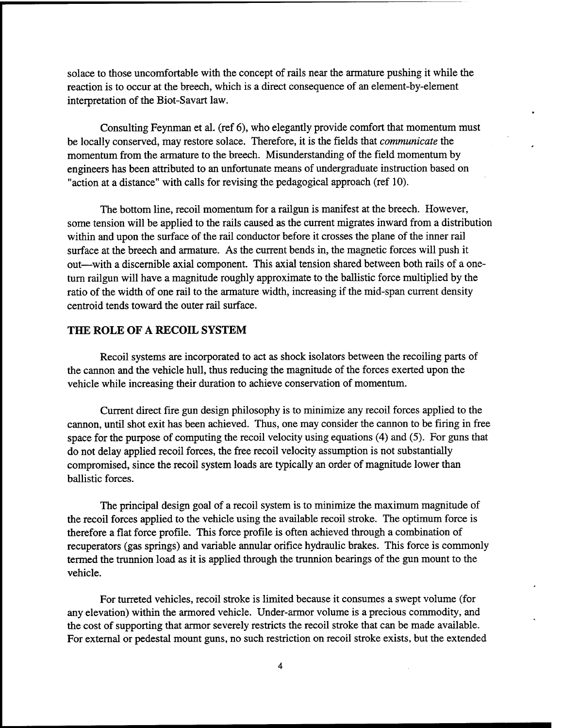solace to those uncomfortable with the concept of rails near the armature pushing it while the reaction is to occur at the breech, which is a direct consequence of an element-by-element interpretation of the Biot-Savart law.

Consulting Feynman et al. (ref 6), who elegantly provide comfort that momentum must be locally conserved, may restore solace. Therefore, it is the fields that *communicate* the momentum from the armature to the breech. Misunderstanding of the field momentum by engineers has been attributed to an unfortunate means of undergraduate instruction based on "action at a distance" with calls for revising the pedagogical approach (ref 10).

The bottom line, recoil momentum for a railgun is manifest at the breech. However, some tension will be applied to the rails caused as the current migrates inward from a distribution within and upon the surface of the rail conductor before it crosses the plane of the inner rail surface at the breech and armature. As the current bends in, the magnetic forces will push it out—with a discernible axial component. This axial tension shared between both rails of a oneturn railgun will have a magnitude roughly approximate to the ballistic force multiplied by the ratio of the width of one rail to the armature width, increasing if the mid-span current density centroid tends toward the outer rail surface.

# **THE ROLE OF A RECOIL SYSTEM**

Recoil systems are incorporated to act as shock isolators between the recoiling parts of the cannon and the vehicle hull, thus reducing the magnitude of the forces exerted upon the vehicle while increasing their duration to achieve conservation of momentum.

Current direct fire gun design philosophy is to minimize any recoil forces applied to the cannon, until shot exit has been achieved. Thus, one may consider the cannon to be firing in free space for the purpose of computing the recoil velocity using equations (4) and (5). For guns that do not delay applied recoil forces, the free recoil velocity assumption is not substantially compromised, since the recoil system loads are typically an order of magnitude lower than ballistic forces.

The principal design goal of a recoil system is to minimize the maximum magnitude of the recoil forces applied to the vehicle using the available recoil stroke. The optimum force is therefore a flat force profile. This force profile is often achieved through a combination of recuperators (gas springs) and variable annular orifice hydraulic brakes. This force is commonly termed the trunnion load as it is applied through the trunnion bearings of the gun mount to the vehicle.

For turreted vehicles, recoil stroke is limited because it consumes a swept volume (for any elevation) within the armored vehicle. Under-armor volume is a precious commodity, and the cost of supporting that armor severely restricts the recoil stroke that can be made available. For external or pedestal mount guns, no such restriction on recoil stroke exists, but the extended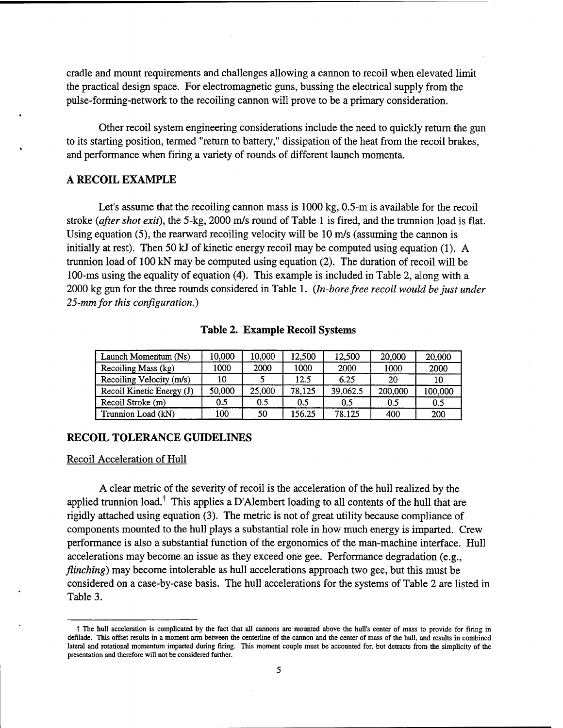cradle and mount requirements and challenges allowing a cannon to recoil when elevated limit the practical design space. For electromagnetic guns, bussing the electrical supply from the pulse-forming-network to the recoiling cannon will prove to be a primary consideration.

Other recoil system engineering considerations include the need to quickly return the gun to its starting position, termed "return to battery," dissipation of the heat from the recoil brakes, and performance when firing a variety of rounds of different launch momenta.

# **A RECOIL EXAMPLE**

Let's assume that the recoiling cannon mass is 1000 kg, 0.5-m is available for the recoil stroke *{after shot exit),* the 5-kg, 2000 m/s round of Table <sup>1</sup> is fired, and the trunnion load is flat. Using equation (5), the rearward recoiling velocity will be 10 m/s (assuming the cannon is initially at rest). Then 50 kJ of kinetic energy recoil may be computed using equation (1). A trunnion load of 100 kN may be computed using equation (2). The duration of recoil will be 100-ms using the equality of equation (4). This example is included in Table 2, along with a 2000 kg gun for the three rounds considered in Table 1. *(In-borefree recoil would be just under 25-mmfor this configuration.)*

# **Table 2. Example Recoil Systems**

| Launch Momentum (Ns)      | 10,000 | 10,000 | 12,500 | 12,500   | 20,000  | 20,000  |
|---------------------------|--------|--------|--------|----------|---------|---------|
| Recoiling Mass (kg)       | 1000   | 2000   | 1000   | 2000     | 1000    | 2000    |
| Recoiling Velocity (m/s)  | 10     |        | 12.5   | 6.25     | 20      | 10      |
| Recoil Kinetic Energy (J) | 50,000 | 25,000 | 78,125 | 39,062.5 | 200,000 | 100,000 |
| Recoil Stroke (m)         | 0.5    | 0.5    | 0.5    | 0.5      | 0.5     | 0.5     |
| Trunnion Load (kN)        | 100    | 50     | 156.25 | 78.125   | 400     | 200     |

#### **RECOIL TOLERANCE GUIDELINES**

#### Recoil Acceleration of Hull

A clear metric of the severity of recoil is the acceleration of the hull realized by the applied trunnion load.<sup>†</sup> This applies a D'Alembert loading to all contents of the hull that are rigidly attached using equation (3). The metric is not of great utility because compliance of components mounted to the hull plays a substantial role in how much energy is imparted. Crew performance is also a substantial function of the ergonomics of the man-machine interface. Hull accelerations may become an issue as they exceed one gee. Performance degradation (e.g., *flinching)* may become intolerable as hull accelerations approach two gee, but this must be considered on a case-by-case basis. The hull accelerations for the systems of Table 2 are listed in Table 3.

t The hull acceleration is complicated by the fact that all cannons are mounted above the hull's center of mass to provide for firing in defilade. This offset results in a moment arm between the centerline of the cannon and the center of mass of the hull, and results in combined lateral and rotational momentum imparted during firing. This moment couple must be accounted for, but detracts from the simplicity of the presentation and therefore will not be considered further.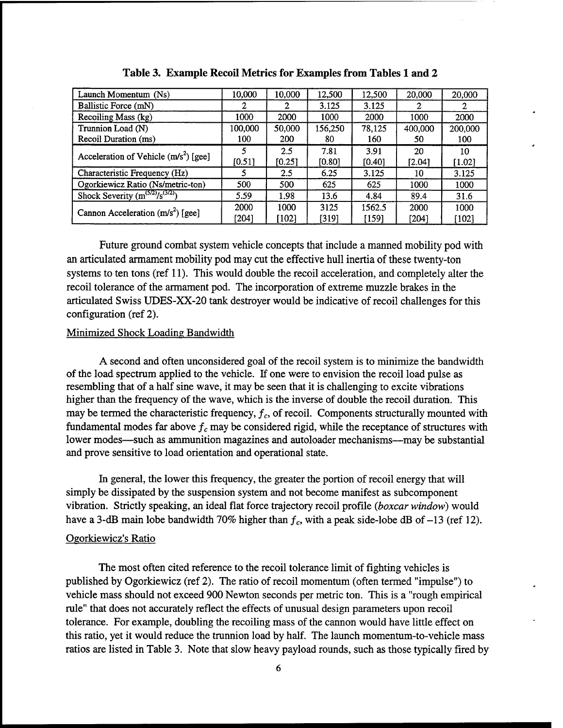| Launch Momentum (Ns)                   | 10,000  | 10,000  | 12,500  | 12,500 | 20,000  | 20,000  |
|----------------------------------------|---------|---------|---------|--------|---------|---------|
| Ballistic Force (mN)                   | 2       | 2       | 3.125   | 3.125  | 2       | 2       |
| Recoiling Mass (kg)                    | 1000    | 2000    | 1000    | 2000   | 1000    | 2000    |
| Trunnion Load (N)                      | 100,000 | 50,000  | 156,250 | 78,125 | 400,000 | 200,000 |
| Recoil Duration (ms)                   | 100     | 200     | 80      | 160    | 50      | 100     |
| Acceleration of Vehicle $(m/s2)$ [gee] | 5       | 2.5     | 7.81    | 3.91   | 20      | 10      |
|                                        | [0.51]  | [0.25]  | [0.80]  | [0.40] | [2.04]  | [1.02]  |
| Characteristic Frequency (Hz)          |         | 2.5     | 6.25    | 3.125  | 10      | 3.125   |
| Ogorkiewicz Ratio (Ns/metric-ton)      | 500     | 500     | 625     | 625    | 1000    | 1000    |
| Shock Severity $(m^{(5/2)}/s^{(3/2)})$ | 5.59    | 1.98    | 13.6    | 4.84   | 89.4    | 31.6    |
| Cannon Acceleration $(m/s^2)$ [gee]    | 2000    | 1000    | 3125    | 1562.5 | 2000    | 1000    |
|                                        | [204]   | $[102]$ | [319]   | [159]  | [204]   | [102]   |

**Table 3. Example Recoil Metrics for Examples from Tables 1 and 2**

Future ground combat system vehicle concepts that include a manned mobility pod with an articulated armament mobility pod may cut the effective hull inertia of these twenty-ton systems to ten tons (ref 11). This would double the recoil acceleration, and completely alter the recoil tolerance of the armament pod. The incorporation of extreme muzzle brakes in the articulated Swiss UDES-XX-20 tank destroyer would be indicative of recoil challenges for this configuration (ref 2).

#### Minimized Shock Loading Bandwidth

A second and often unconsidered goal of the recoil system is to minimize the bandwidth of the load spectrum applied to the vehicle. If one were to envision the recoil load pulse as resembling that of a half sine wave, it may be seen that it is challenging to excite vibrations higher than the frequency of the wave, which is the inverse of double the recoil duration. This may be termed the characteristic frequency, *fc,* of recoil. Components structurally mounted with fundamental modes far above *f<sup>c</sup>* may be considered rigid, while the receptance of structures with lower modes—such as ammunition magazines and autoloader mechanisms—may be substantial and prove sensitive to load orientation and operational state.

In general, the lower this frequency, the greater the portion of recoil energy that will simply be dissipated by the suspension system and not become manifest as subcomponent vibration. Strictly speaking, an ideal flat force trajectory recoil profile *(boxcar window)* would have a 3-dB main lobe bandwidth 70% higher than  $f_c$ , with a peak side-lobe dB of -13 (ref 12).

#### Ogorkiewicz's Ratio

The most often cited reference to the recoil tolerance limit of fighting vehicles is published by Ogorkiewicz (ref 2). The ratio of recoil momentum (often termed "impulse") to vehicle mass should not exceed 900 Newton seconds per metric ton. This is a "rough empirical rule" that does not accurately reflect the effects of unusual design parameters upon recoil tolerance. For example, doubling the recoiling mass of the cannon would have little effect on this ratio, yet it would reduce the trunnion load by half. The launch momentum-to-vehicle mass ratios are listed in Table 3. Note that slow heavy payload rounds, such as those typically fired by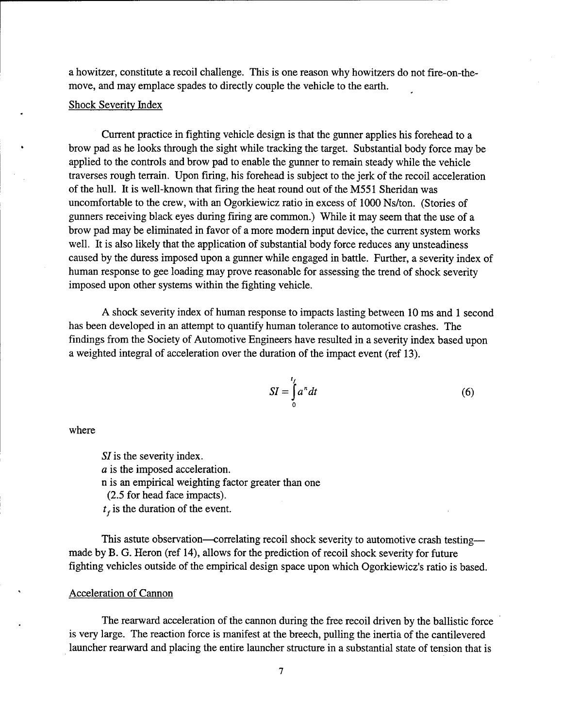a howitzer, constitute a recoil challenge. This is one reason why howitzers do not fire-on-themove, and may emplace spades to directly couple the vehicle to the earth.

## Shock Severity Index

Current practice in fighting vehicle design is that the gunner applies his forehead to a brow pad as he looks through the sight while tracking the target. Substantial body force may be applied to the controls and brow pad to enable the gunner to remain steady while the vehicle traverses rough terrain. Upon firing, his forehead is subject to the jerk of the recoil acceleration of the hull. It is well-known that firing the heat round out of the M551 Sheridan was uncomfortable to the crew, with an Ogorkiewicz ratio in excess of 1000 Ns/ton. (Stories of gunners receiving black eyes during firing are common.) While it may seem that the use of a brow pad may be eliminated in favor of a more modern input device, the current system works well. It is also likely that the application of substantial body force reduces any unsteadiness caused by the duress imposed upon a gunner while engaged in battle. Further, a severity index of human response to gee loading may prove reasonable for assessing the trend of shock severity imposed upon other systems within the fighting vehicle.

A shock severity index of human response to impacts lasting between 10 ms and <sup>1</sup> second has been developed in an attempt to quantify human tolerance to automotive crashes. The findings from the Society of Automotive Engineers have resulted in a severity index based upon a weighted integral of acceleration over the duration of the impact event (ref 13).

$$
SI = \int_{0}^{t} a^{n} dt
$$
 (6)

where

SI is the severity index. *a* is the imposed acceleration, n is an empirical weighting factor greater than one (2.5 for head face impacts). *tf* is the duration of the event.

This astute observation—correlating recoil shock severity to automotive crash testing made by B. G. Heron (ref 14), allows for the prediction of recoil shock severity for future fighting vehicles outside of the empirical design space upon which Ogorkiewicz's ratio is based.

#### Acceleration of Cannon

The rearward acceleration of the cannon during the free recoil driven by the ballistic force is very large. The reaction force is manifest at the breech, pulling the inertia of the cantilevered launcher rearward and placing the entire launcher structure in a substantial state of tension that is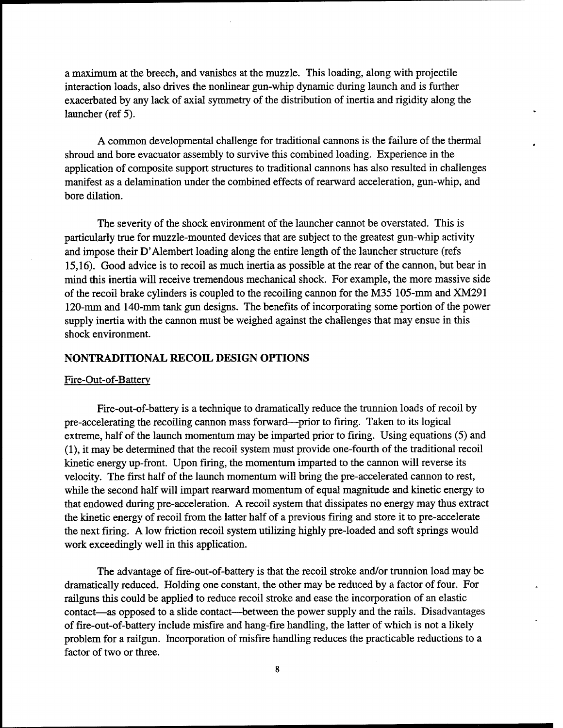a maximum at the breech, and vanishes at the muzzle. This loading, along with projectile interaction loads, also drives the nonlinear gun-whip dynamic during launch and is further exacerbated by any lack of axial symmetry of the distribution of inertia and rigidity along the launcher (ref 5).

A common developmental challenge for traditional cannons is the failure of the thermal shroud and bore evacuator assembly to survive this combined loading. Experience in the application of composite support structures to traditional cannons has also resulted in challenges manifest as a delamination under the combined effects of rearward acceleration, gun-whip, and bore dilation.

The severity of the shock environment of the launcher cannot be overstated. This is particularly true for muzzle-mounted devices that are subject to the greatest gun-whip activity and impose their D'Alembert loading along the entire length of the launcher structure (refs 15,16). Good advice is to recoil as much inertia as possible at the rear of the cannon, but bear in mind this inertia will receive tremendous mechanical shock. For example, the more massive side of the recoil brake cylinders is coupled to the recoiling cannon for the M35 105-mm and XM291 120-mm and 140-mm tank gun designs. The benefits of incorporating some portion of the power supply inertia with the cannon must be weighed against the challenges that may ensue in this shock environment.

#### **NONTRADITIONAL RECOIL DESIGN OPTIONS**

#### Fire-Out-of-Battery

Fire-out-of-battery is a technique to dramatically reduce the trunnion loads of recoil by pre-accelerating the recoiling cannon mass forward—prior to firing. Taken to its logical extreme, half of the launch momentum may be imparted prior to firing. Using equations (5) and (1), it may be determined that the recoil system must provide one-fourth of the traditional recoil kinetic energy up-front. Upon firing, the momentum imparted to the cannon will reverse its velocity. The first half of the launch momentum will bring the pre-accelerated cannon to rest, while the second half will impart rearward momentum of equal magnitude and kinetic energy to that endowed during pre-acceleration. A recoil system that dissipates no energy may thus extract the kinetic energy of recoil from the latter half of a previous firing and store it to pre-accelerate the next firing. A low friction recoil system utilizing highly pre-loaded and soft springs would work exceedingly well in this application.

The advantage of fire-out-of-battery is that the recoil stroke and/or trunnion load may be dramatically reduced. Holding one constant, the other may be reduced by a factor of four. For railguns this could be applied to reduce recoil stroke and ease the incorporation of an elastic contact—as opposed to a slide contact—between the power supply and the rails. Disadvantages of fire-out-of-battery include misfire and hang-fire handling, the latter of which is not a likely problem for a railgun. Incorporation of misfire handling reduces the practicable reductions to a factor of two or three.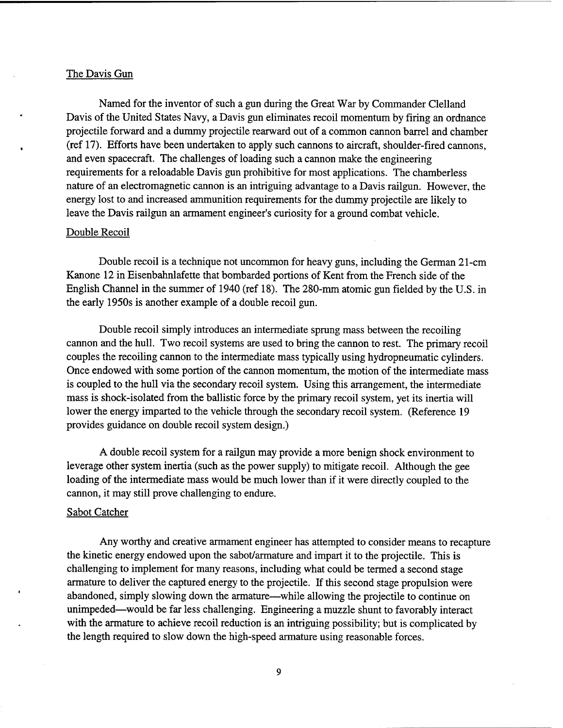## The Davis Gun

Named for the inventor of such a gun during the Great War by Commander Clelland Davis of the United States Navy, a Davis gun eliminates recoil momentum by firing an ordnance projectile forward and a dummy projectile rearward out of a common cannon barrel and chamber (ref 17). Efforts have been undertaken to apply such cannons to aircraft, shoulder-fired cannons, and even spacecraft. The challenges of loading such a cannon make the engineering requirements for a reloadable Davis gun prohibitive for most applications. The chamberless nature of an electromagnetic cannon is an intriguing advantage to a Davis railgun. However, the energy lost to and increased ammunition requirements for the dummy projectile are likely to leave the Davis railgun an armament engineer's curiosity for a ground combat vehicle.

#### Double Recoil

Double recoil is a technique not uncommon for heavy guns, including the German 21-cm Kanone 12 in Eisenbahnlafette that bombarded portions of Kent from the French side of the English Channel in the summer of 1940 (ref 18). The 280-mm atomic gun fielded by the U.S. in the early 1950s is another example of a double recoil gun.

Double recoil simply introduces an intermediate sprung mass between the recoiling cannon and the hull. Two recoil systems are used to bring the cannon to rest. The primary recoil couples the recoiling cannon to the intermediate mass typically using hydropneumatic cylinders. Once endowed with some portion of the cannon momentum, the motion of the intermediate mass is coupled to the hull via the secondary recoil system. Using this arrangement, the intermediate mass is shock-isolated from the ballistic force by the primary recoil system, yet its inertia will lower the energy imparted to the vehicle through the secondary recoil system. (Reference 19 provides guidance on double recoil system design.)

A double recoil system for a railgun may provide a more benign shock environment to leverage other system inertia (such as the power supply) to mitigate recoil. Although the gee loading of the intermediate mass would be much lower than if it were directly coupled to the cannon, it may still prove challenging to endure.

## Sabot Catcher

Any worthy and creative armament engineer has attempted to consider means to recapture the kinetic energy endowed upon the sabot/armature and impart it to the projectile. This is challenging to implement for many reasons, including what could be termed a second stage armature to deliver the captured energy to the projectile. If this second stage propulsion were abandoned, simply slowing down the armature—while allowing the projectile to continue on unimpeded—would be far less challenging. Engineering a muzzle shunt to favorably interact with the armature to achieve recoil reduction is an intriguing possibility; but is complicated by the length required to slow down the high-speed armature using reasonable forces.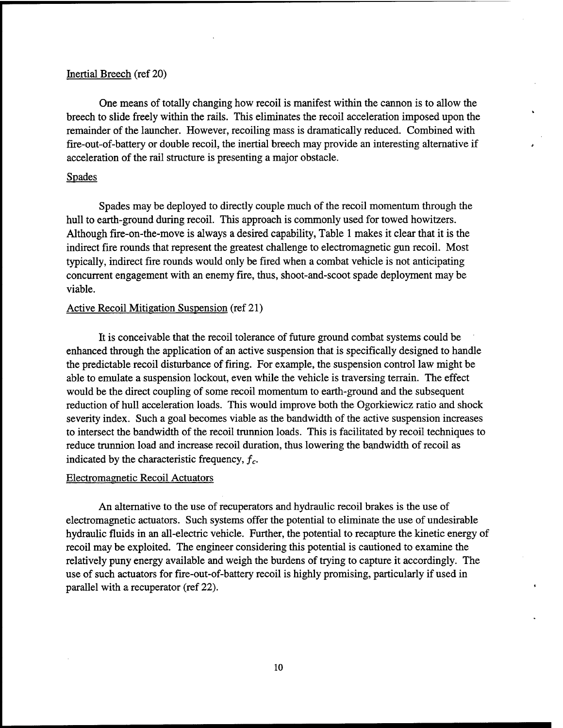# Inertial Breech (ref 20)

One means of totally changing how recoil is manifest within the cannon is to allow the breech to slide freely within the rails. This eliminates the recoil acceleration imposed upon the remainder of the launcher. However, recoiling mass is dramatically reduced. Combined with fire-out-of-battery or double recoil, the inertial breech may provide an interesting alternative if acceleration of the rail structure is presenting a major obstacle.

# **Spades**

Spades may be deployed to directly couple much of the recoil momentum through the hull to earth-ground during recoil. This approach is commonly used for towed howitzers. Although fire-on-the-move is always a desired capability, Table <sup>1</sup> makes it clear that it is the indirect fire rounds that represent the greatest challenge to electromagnetic gun recoil. Most typically, indirect fire rounds would only be fired when a combat vehicle is not anticipating concurrent engagement with an enemy fire, thus, shoot-and-scoot spade deployment may be viable.

## Active Recoil Mitigation Suspension (ref 21)

It is conceivable that the recoil tolerance of future ground combat systems could be enhanced through the application of an active suspension that is specifically designed to handle the predictable recoil disturbance of firing. For example, the suspension control law might be able to emulate a suspension lockout, even while the vehicle is traversing terrain. The effect would be the direct coupling of some recoil momentum to earth-ground and the subsequent reduction of hull acceleration loads. This would improve both the Ogorkiewicz ratio and shock severity index. Such a goal becomes viable as the bandwidth of the active suspension increases to intersect the bandwidth of the recoil trunnion loads. This is facilitated by recoil techniques to reduce trunnion load and increase recoil duration, thus lowering the bandwidth of recoil as indicated by the characteristic frequency, *fc.*

#### Electromagnetic Recoil Actuators

An alternative to the use of recuperators and hydraulic recoil brakes is the use of electromagnetic actuators. Such systems offer the potential to eliminate the use of undesirable hydraulic fluids in an all-electric vehicle. Further, the potential to recapture the kinetic energy of recoil may be exploited. The engineer considering this potential is cautioned to examine the relatively puny energy available and weigh the burdens of trying to capture it accordingly. The use of such actuators for fire-out-of-battery recoil is highly promising, particularly if used in parallel with a recuperator (ref 22).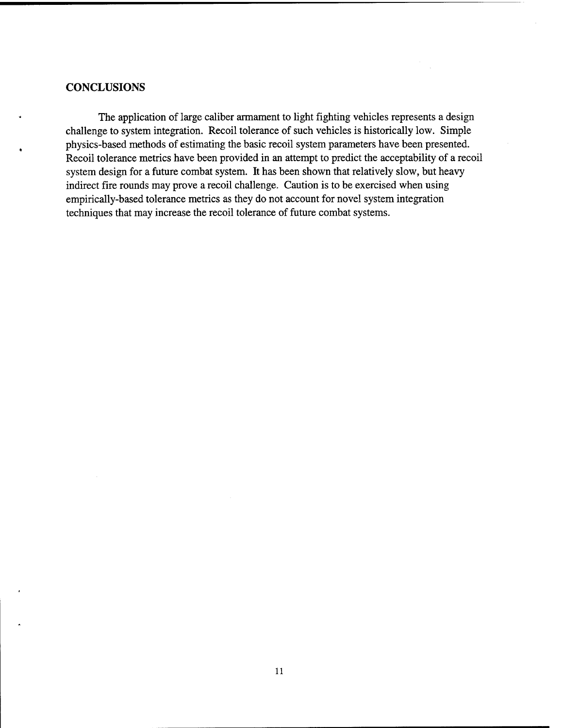# **CONCLUSIONS**

The application of large caliber armament to light fighting vehicles represents a design challenge to system integration. Recoil tolerance of such vehicles is historically low. Simple physics-based methods of estimating the basic recoil system parameters have been presented. Recoil tolerance metrics have been provided in an attempt to predict the acceptability of a recoil system design for a future combat system. It has been shown that relatively slow, but heavy indirect fire rounds may prove a recoil challenge. Caution is to be exercised when using empirically-based tolerance metrics as they do not account for novel system integration techniques that may increase the recoil tolerance of future combat systems.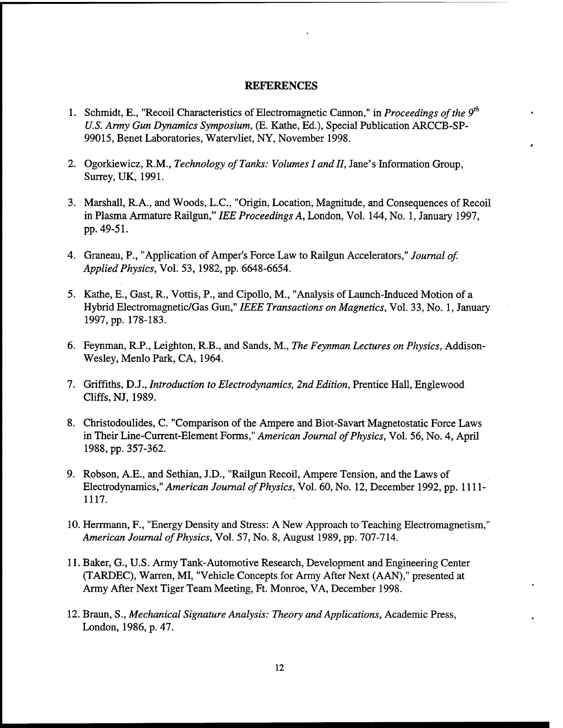## **REFERENCES**

- 1. Schmidt, E., "Recoil Characteristics of Electromagnetic Cannon," in *Proceedings of the* 9<sup>th</sup> *U.S. Army Gun Dynamics Symposium,* (E. Käthe, Ed.), Special Publication ARCCB-SP-99015, Benet Laboratories, Watervliet, NY, November 1998.
- 2. Ogorkiewicz, R.M., *Technology ofTanks: Volumes I and II,* Jane's Information Group, Surrey, UK, 1991.
- 3. Marshall, R.A., and Woods, L.C., "Origin, Location, Magnitude, and Consequences of Recoil in Plasma Armature Railgun," *TEE Proceedings A,* London, Vol. 144, No. 1, January 1997, pp. 49-51.
- 4. Graneau, P., "Application of Amper's Force Law to Railgun Accelerators," *Journal of. Applied Physics,* Vol. 53, 1982, pp. 6648-6654.
- 5. Käthe, E., Gast, R., Vottis, P., and Cipollo, M., "Analysis of Launch-Induced Motion of a Hybrid Electromagnetic/Gas Gun," *IEEE Transactions on Magnetics,* Vol. 33, No. 1, January 1997, pp. 178-183.
- 6. Feynman, R.P., Leighton, R.B., and Sands, M., *The Feynman Lectures on Physics,* Addison-Wesley, Menlo Park, CA, 1964.
- 7. Griffiths, DJ., *Introduction to Electrodynamics, 2nd Edition,* Prentice Hall, Englewood Cliffs, NJ, 1989.
- 8. Christodoulides, C. "Comparison of the Ampere and Biot-Savart Magnetostatic Force Laws in Their Line-Current-Element Forms," *American Journal ofPhysics,* Vol. 56, No. 4, April 1988, pp. 357-362.
- 9. Robson, A.E., and Sethian, J.D., "Railgun Recoil, Ampere Tension, and the Laws of Electrodynamics," *American Journal of Physics*, Vol. 60, No. 12, December 1992, pp. 1111-1117.
- 10. Herrmann, F., "Energy Density and Stress: A New Approach to Teaching Electromagnetism," *American Journal ofPhysics,* Vol. 57, No. 8, August 1989, pp. 707-714.
- 11. Baker, G., U.S. Army Tank-Automotive Research, Development and Engineering Center (TARDEC), Warren, MI, "Vehicle Concepts for Army After Next (AAN)," presented at Army After Next Tiger Team Meeting, Ft. Monroe, VA, December 1998.
- 12. Braun, S., *Mechanical Signature Analysis: Theory and Applications,* Academic Press, London, 1986, p. 47.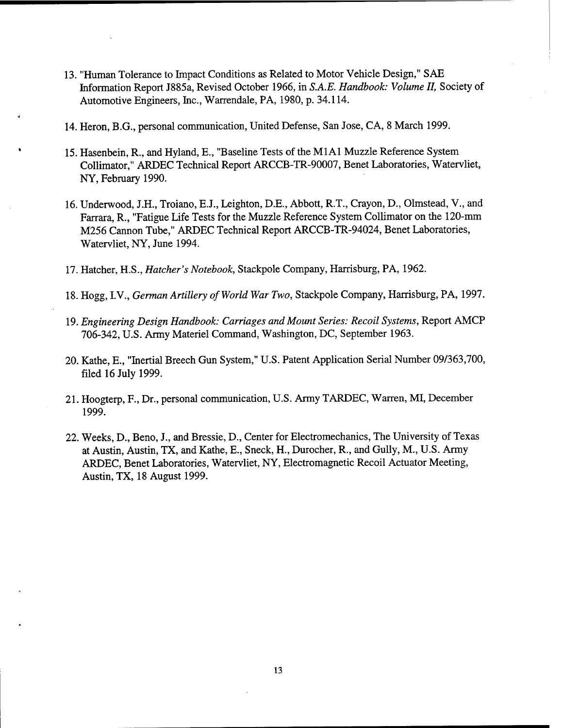- 13. "Human Tolerance to Impact Conditions as Related to Motor Vehicle Design," SAE Information Report J885a, Revised October 1966, in *S.A.E. Handbook: Volume II,* Society of Automotive Engineers, Inc., Warrendale, PA, 1980, p. 34.114.
- 14. Heron, B.G., personal communication, United Defense, San Jose, CA, 8 March 1999.
- 15. Hasenbein, R., and Hyland, E., "Baseline Tests of the MlAl Muzzle Reference System Collimator," ARDEC Technical Report ARCCB-TR-90007, Benet Laboratories, Watervliet, NY, February 1990.
- 16. Underwood, J.H., Troiano, E.J., Leighton, D.E., Abbott, R.T., Crayon, D., Olmstead, V., and Farrara, R., "Fatigue Life Tests for the Muzzle Reference System Collimator on the 120-mm M256 Cannon Tube," ARDEC Technical Report ARCCB-TR-94024, Benet Laboratories, Watervliet, NY, June 1994.
- 17. Hatcher, H.S., *Hatcher's Notebook,* Stackpole Company, Harrisburg, PA, 1962.
- 18. Hogg, I.V., *German Artillery of World War Two,* Stackpole Company, Harrisburg, PA, 1997.
- 19. *Engineering Design Handbook: Carriages and Mount Series: Recoil Systems,* Report AMCP 706-342, U.S. Army Materiel Command, Washington, DC, September 1963.
- 20. Käthe, E., "Inertial Breech Gun System," U.S. Patent Application Serial Number 09/363,700, filed 16 July 1999.
- 21. Hoogterp, F., Dr., personal communication, U.S. Army TARDEC, Warren, MI, December 1999.
- 22. Weeks, D., Beno, J., and Bressie, D., Center for Electromechanics, The University of Texas at Austin, Austin, TX, and Kathe, E., Sneck, H., Durocher, R., and Gully, M., U.S. Army ARDEC, Benet Laboratories, Watervliet, NY, Electromagnetic Recoil Actuator Meeting, Austin, TX, 18 August 1999.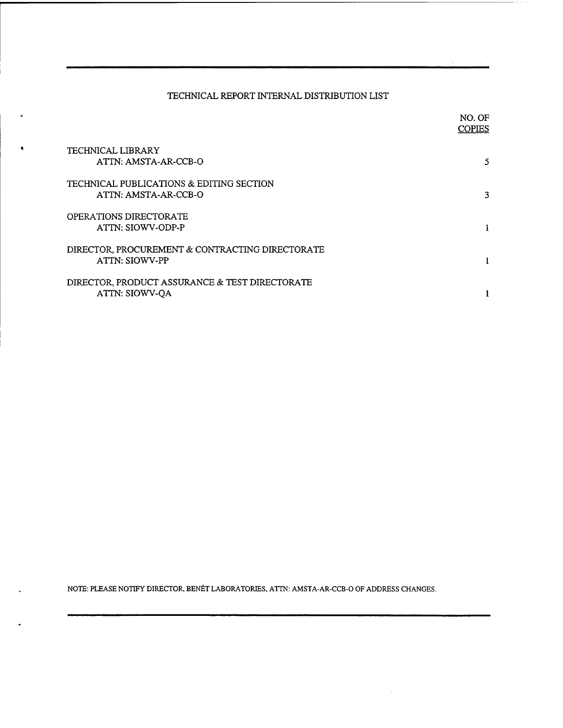#### TECHNICAL REPORT INTERNAL DISTRIBUTION LIST

 $\overline{a}$ 

 $\ddot{\phantom{a}}$ 

 $\bullet$ 

NO. OF

|                                                                   | COPIES |
|-------------------------------------------------------------------|--------|
| <b>TECHNICAL LIBRARY</b><br>ATTN: AMSTA-AR-CCB-O                  | 5      |
| TECHNICAL PUBLICATIONS & EDITING SECTION<br>ATTN: AMSTA-AR-CCB-O  | 3      |
| OPERATIONS DIRECTORATE<br>ATTN: SIOWV-ODP-P                       | 1      |
| DIRECTOR, PROCUREMENT & CONTRACTING DIRECTORATE<br>ATTN: SIOWV-PP |        |
| DIRECTOR, PRODUCT ASSURANCE & TEST DIRECTORATE<br>ATTN: SIOWV-QA  |        |

NOTE: PLEASE NOTIFY DIRECTOR, BENET LABORATORIES, ATTN: AMSTA-AR-CCB-0 OF ADDRESS CHANGES.

 $\bar{L}$